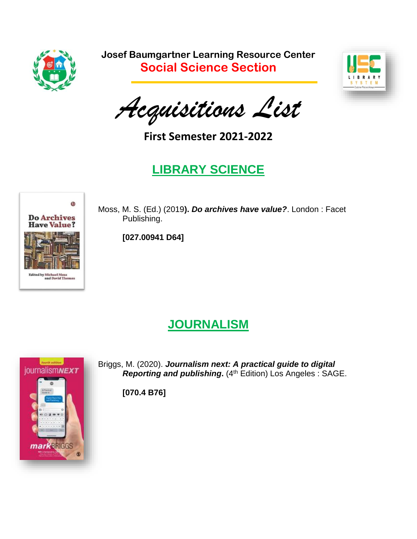

**Josef Baumgartner Learning Resource Center Social Science Section**



*Acquisitions List*

**First Semester 2021-2022**

## **LIBRARY SCIENCE**



Moss, M. S. (Ed.) (2019**).** *Do archives have value?*. London : Facet Publishing.

**[027.00941 D64]**

#### **JOURNALISM**



Briggs, M. (2020). *Journalism next: A practical guide to digital Reporting and publishing***.** (4th Edition) Los Angeles : SAGE.

**[070.4 B76]**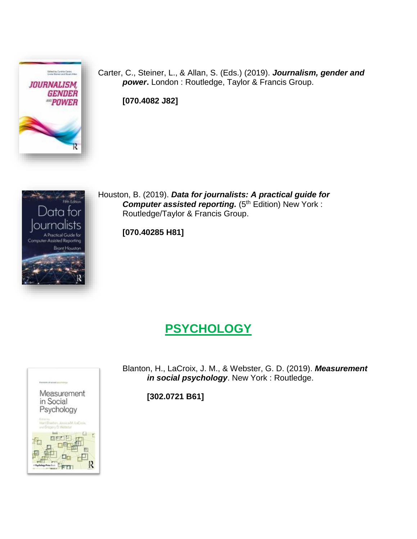

Carter, C., Steiner, L., & Allan, S. (Eds.) (2019). *Journalism, gender and power***.** London : Routledge, Taylor & Francis Group.

**[070.4082 J82]**



Houston, B. (2019). *Data for journalists: A practical guide for* **Computer assisted reporting.** (5<sup>th</sup> Edition) New York : Routledge/Taylor & Francis Group.

**[070.40285 H81]**

#### **PSYCHOLOGY**



Blanton, H., LaCroix, J. M., & Webster, G. D. (2019). *Measurement in social psychology*. New York : Routledge.

**[302.0721 B61]**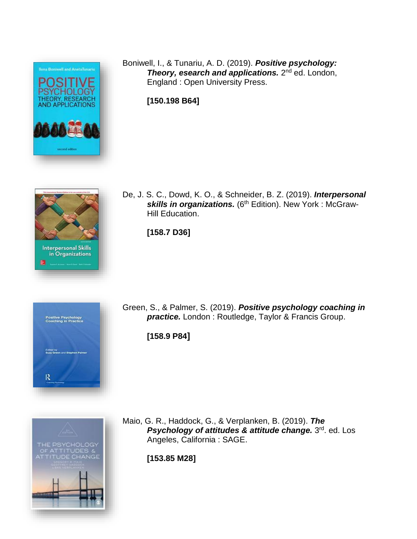

Boniwell, I., & Tunariu, A. D. (2019). *Positive psychology:* **Theory, esearch and applications.** 2<sup>nd</sup> ed. London, England : Open University Press.

**[150.198 B64]**



De, J. S. C., Dowd, K. O., & Schneider, B. Z. (2019). *Interpersonal* skills in organizations. (6<sup>th</sup> Edition). New York : McGraw-Hill Education.

**[158.7 D36]**



Green, S., & Palmer, S. (2019). *Positive psychology coaching in practice.* London : Routledge, Taylor & Francis Group.

**[158.9 P84]**



Maio, G. R., Haddock, G., & Verplanken, B. (2019). *The Psychology of attitudes & attitude change.* 3 rd. ed. Los Angeles, California : SAGE.

**[153.85 M28]**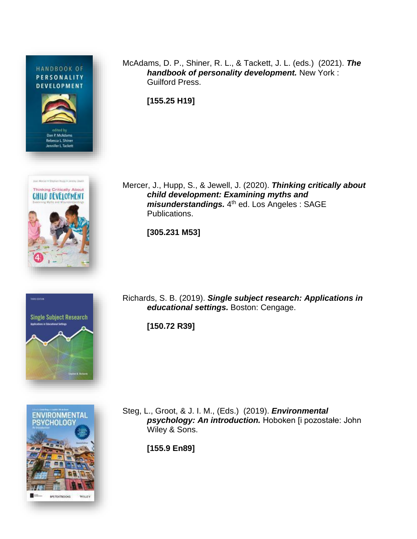HANDBOOK OF PERSONALITY **DEVELOPMENT** 









McAdams, D. P., Shiner, R. L., & Tackett, J. L. (eds.) (2021). *The handbook of personality development.* New York : Guilford Press.

**[155.25 H19]**

Mercer, J., Hupp, S., & Jewell, J. (2020). *Thinking critically about child development: Examining myths and*  misunderstandings. 4<sup>th</sup> ed. Los Angeles: SAGE Publications.

**[305.231 M53]**

Richards, S. B. (2019). *Single subject research: Applications in educational settings.* Boston: Cengage.

**[150.72 R39]**

Steg, L., Groot, & J. I. M., (Eds.) (2019). *Environmental psychology: An introduction.* Hoboken [i pozostałe: John Wiley & Sons.

**[155.9 En89]**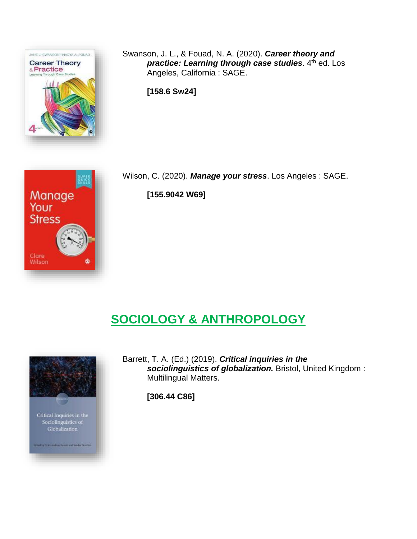

Manage

Your **Stress** 

Clare Wilson Swanson, J. L., & Fouad, N. A. (2020). *Career theory and practice: Learning through case studies*. 4 th ed. Los Angeles, California : SAGE.

**[158.6 Sw24]**

Wilson, C. (2020). *Manage your stress*. Los Angeles : SAGE.

**[155.9042 W69]**

## **SOCIOLOGY & ANTHROPOLOGY**



Barrett, T. A. (Ed.) (2019). *Critical inquiries in the sociolinguistics of globalization.* Bristol, United Kingdom : Multilingual Matters.

**[306.44 C86]**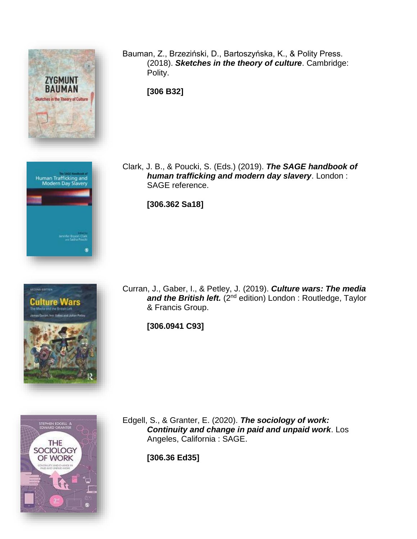

Bauman, Z., Brzeziński, D., Bartoszyńska, K., & Polity Press. (2018). *Sketches in the theory of culture*. Cambridge: Polity.

**[306 B32]**





Clark, J. B., & Poucki, S. (Eds.) (2019). *The SAGE handbook of human trafficking and modern day slavery*. London : SAGE reference.

**[306.362 Sa18]**

Curran, J., Gaber, I., & Petley, J. (2019). *Culture wars: The media* and the British left. (2<sup>nd</sup> edition) London : Routledge, Taylor & Francis Group.

**[306.0941 C93]**



Edgell, S., & Granter, E. (2020). *The sociology of work: Continuity and change in paid and unpaid work*. Los Angeles, California : SAGE.

**[306.36 Ed35]**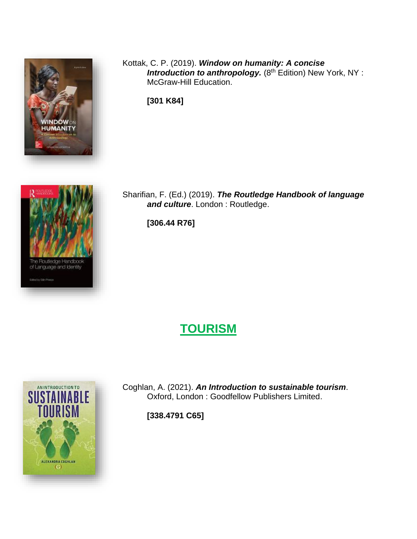

: Routledge Handbook<br>anguage and Identity

Kottak, C. P. (2019). *Window on humanity: A concise* **Introduction to anthropology.** (8<sup>th</sup> Edition) New York, NY : McGraw-Hill Education.

**[301 K84]**



**[306.44 R76]**

# **TOURISM**



Coghlan, A. (2021). *An Introduction to sustainable tourism*. Oxford, London : Goodfellow Publishers Limited.

**[338.4791 C65]**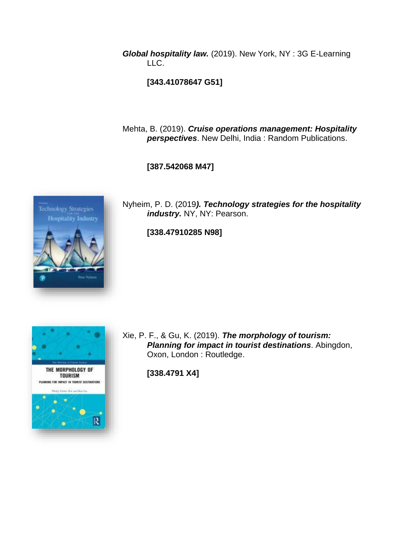*Global hospitality law.* (2019). New York, NY : 3G E-Learning LLC.

**[343.41078647 G51]**

Mehta, B. (2019). *Cruise operations management: Hospitality perspectives*. New Delhi, India : Random Publications.

**[387.542068 M47]**



Nyheim, P. D. (2019*). Technology strategies for the hospitality industry.* NY, NY: Pearson.

**[338.47910285 N98]**



Xie, P. F., & Gu, K. (2019). *The morphology of tourism: Planning for impact in tourist destinations*. Abingdon, Oxon, London : Routledge.

**[338.4791 X4]**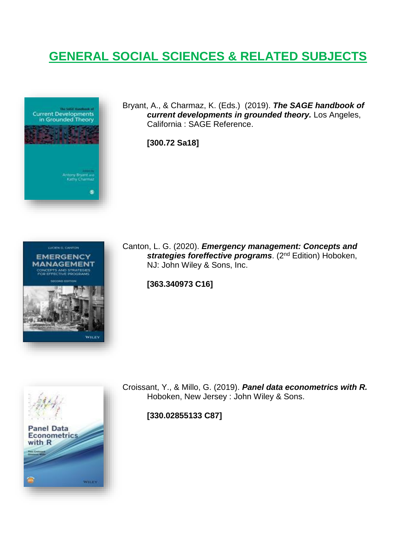## **GENERAL SOCIAL SCIENCES & RELATED SUBJECTS**



Bryant, A., & Charmaz, K. (Eds.) (2019). *The SAGE handbook of current developments in grounded theory.* Los Angeles, California : SAGE Reference.

**[300.72 Sa18]**



Canton, L. G. (2020). *Emergency management: Concepts and strategies foreffective programs*. (2nd Edition) Hoboken, NJ: John Wiley & Sons, Inc.

**[363.340973 C16]**



Croissant, Y., & Millo, G. (2019). *Panel data econometrics with R.* Hoboken, New Jersey : John Wiley & Sons.

**[330.02855133 C87]**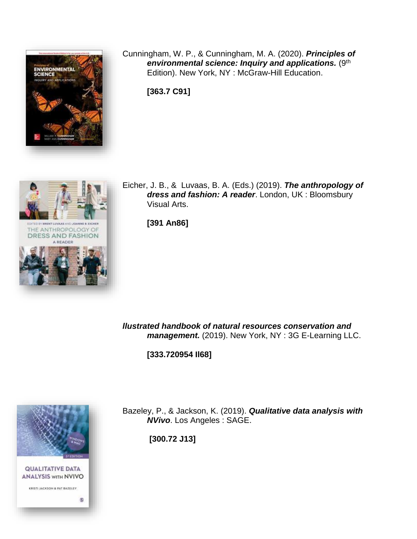

Cunningham, W. P., & Cunningham, M. A. (2020). *Principles of environmental science: Inquiry and applications.* (9<sup>th</sup>) Edition). New York, NY : McGraw-Hill Education.

**[363.7 C91]**



Eicher, J. B., & Luvaas, B. A. (Eds.) (2019). *The anthropology of dress and fashion: A reader*. London, UK : Bloomsbury Visual Arts.

**[391 An86]** 

*llustrated handbook of natural resources conservation and management.* (2019). New York, NY : 3G E-Learning LLC.

**[333.720954 Il68]**



Bazeley, P., & Jackson, K. (2019). *Qualitative data analysis with NVivo*. Los Angeles : SAGE.

**[300.72 J13]**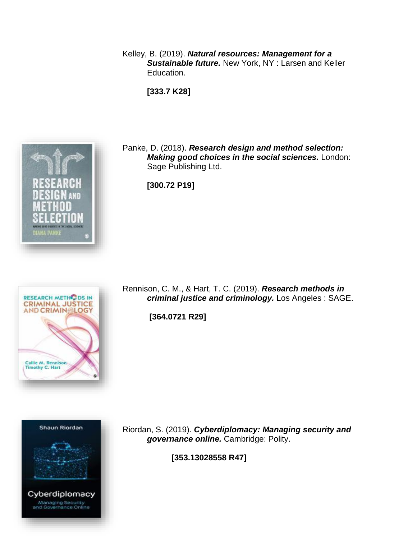Kelley, B. (2019). *Natural resources: Management for a Sustainable future.* New York, NY : Larsen and Keller Education.

**[333.7 K28]**



Panke, D. (2018). *Research design and method selection: Making good choices in the social sciences.* London: Sage Publishing Ltd.

**[300.72 P19]**

Rennison, C. M., & Hart, T. C. (2019). *Research methods in criminal justice and criminology.* Los Angeles : SAGE.

**[364.0721 R29]**





Riordan, S. (2019). *Cyberdiplomacy: Managing security and governance online.* Cambridge: Polity.

**[353.13028558 R47]**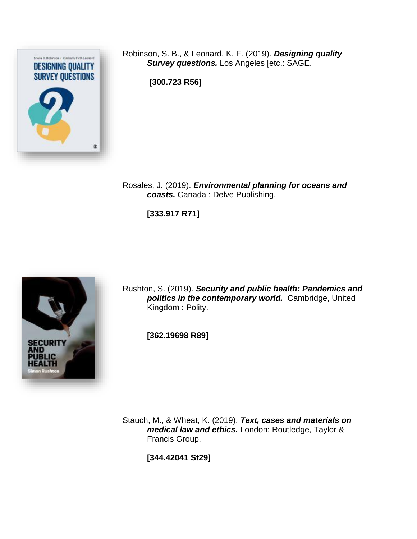

Robinson, S. B., & Leonard, K. F. (2019). *Designing quality Survey questions.* Los Angeles [etc.: SAGE.

**[300.723 R56]**

Rosales, J. (2019). *Environmental planning for oceans and coasts.* Canada : Delve Publishing.

**[333.917 R71]**



Rushton, S. (2019). *Security and public health: Pandemics and politics in the contemporary world.* Cambridge, United Kingdom : Polity.

**[362.19698 R89]**

Stauch, M., & Wheat, K. (2019). *Text, cases and materials on medical law and ethics.* London: Routledge, Taylor & Francis Group.

**[344.42041 St29]**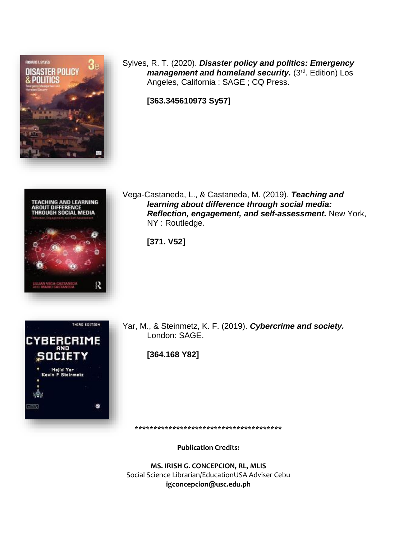

Sylves, R. T. (2020). *Disaster policy and politics: Emergency management and homeland security.* (3<sup>rd</sup>. Edition) Los Angeles, California : SAGE ; CQ Press.

**[363.345610973 Sy57]**



Vega-Castaneda, L., & Castaneda, M. (2019). *Teaching and learning about difference through social media: Reflection, engagement, and self-assessment.* New York, NY : Routledge.

**[371. V52]**



Yar, M., & Steinmetz, K. F. (2019). *Cybercrime and society.* London: SAGE.

**[364.168 Y82]**

**Publication Credits:** 

**\*\*\*\*\*\*\*\*\*\*\*\*\*\*\*\*\*\*\*\*\*\*\*\*\*\*\*\*\*\*\*\*\*\*\*\*\*\*\***

**MS. IRISH G. CONCEPCION, RL, MLIS** Social Science Librarian/EducationUSA Adviser Cebu **igconcepcion@usc.edu.ph**